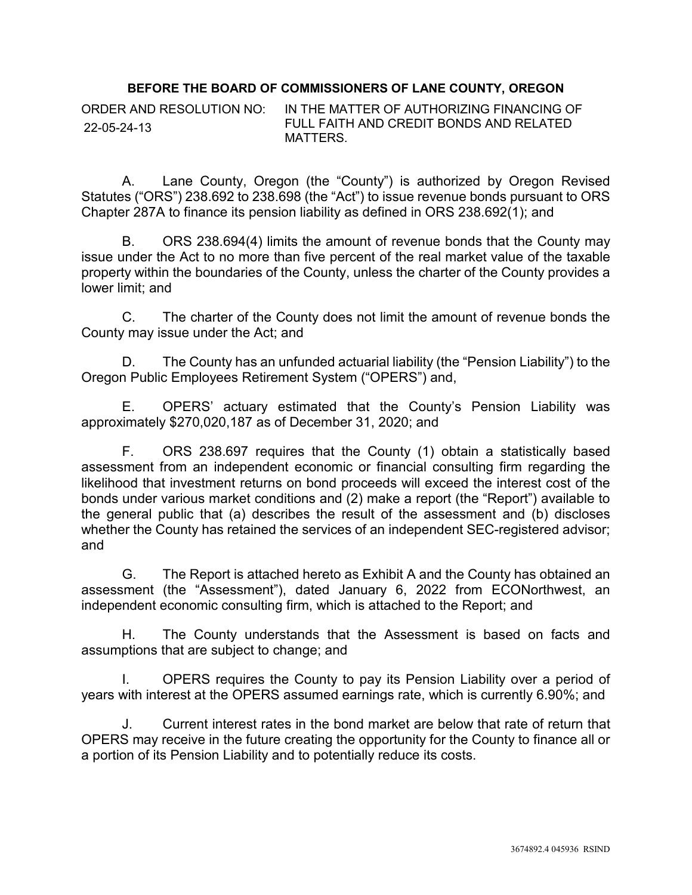## **BEFORE THE BOARD OF COMMISSIONERS OF LANE COUNTY, OREGON**

ORDER AND RESOLUTION NO: IN THE MATTER OF AUTHORIZING FINANCING OF FULL FAITH AND CREDIT BONDS AND RELATED MATTERS. 22-05-24-13

A. Lane County, Oregon (the "County") is authorized by Oregon Revised Statutes ("ORS") 238.692 to 238.698 (the "Act") to issue revenue bonds pursuant to ORS Chapter 287A to finance its pension liability as defined in ORS 238.692(1); and

B. ORS 238.694(4) limits the amount of revenue bonds that the County may issue under the Act to no more than five percent of the real market value of the taxable property within the boundaries of the County, unless the charter of the County provides a lower limit; and

C. The charter of the County does not limit the amount of revenue bonds the County may issue under the Act; and

D. The County has an unfunded actuarial liability (the "Pension Liability") to the Oregon Public Employees Retirement System ("OPERS") and,

E. OPERS' actuary estimated that the County's Pension Liability was approximately \$270,020,187 as of December 31, 2020; and

F. ORS 238.697 requires that the County (1) obtain a statistically based assessment from an independent economic or financial consulting firm regarding the likelihood that investment returns on bond proceeds will exceed the interest cost of the bonds under various market conditions and (2) make a report (the "Report") available to the general public that (a) describes the result of the assessment and (b) discloses whether the County has retained the services of an independent SEC-registered advisor; and

G. The Report is attached hereto as Exhibit A and the County has obtained an assessment (the "Assessment"), dated January 6, 2022 from ECONorthwest, an independent economic consulting firm, which is attached to the Report; and

H. The County understands that the Assessment is based on facts and assumptions that are subject to change; and

I. OPERS requires the County to pay its Pension Liability over a period of years with interest at the OPERS assumed earnings rate, which is currently 6.90%; and

J. Current interest rates in the bond market are below that rate of return that OPERS may receive in the future creating the opportunity for the County to finance all or a portion of its Pension Liability and to potentially reduce its costs.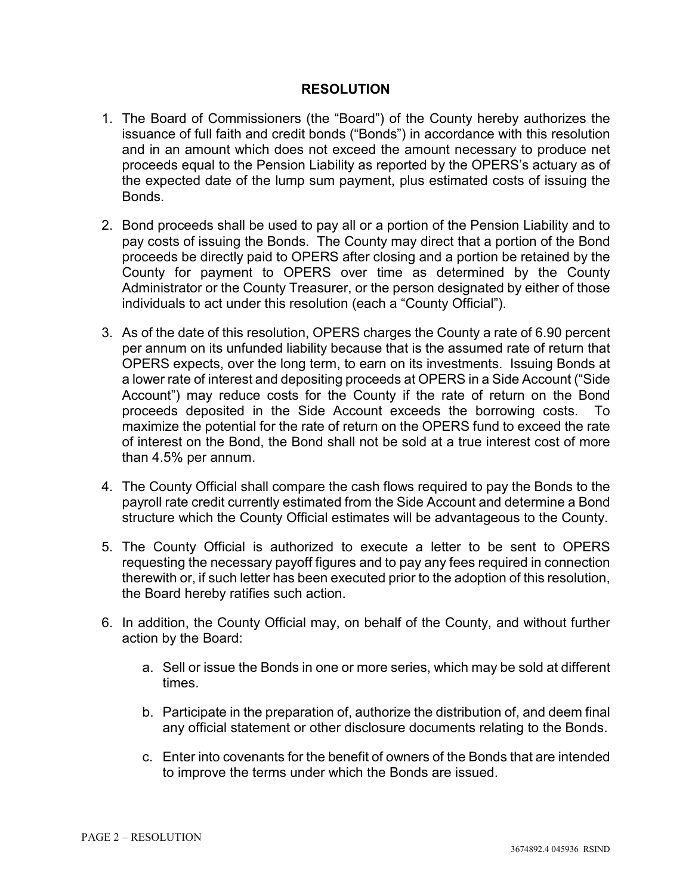## **RESOLUTION**

- 1. The Board of Commissioners (the "Board") of the County hereby authorizes the issuance of full faith and credit bonds ("Bonds") in accordance with this resolution and in an amount which does not exceed the amount necessary to produce net proceeds equal to the Pension Liability as reported by the OPERS's actuary as of the expected date of the lump sum payment, plus estimated costs of issuing the **Bonds**
- 2. Bond proceeds shall be used to pay all or a portion of the Pension Liability and to pay costs of issuing the Bonds. The County may direct that a portion of the Bond proceeds be directly paid to OPERS after closing and a portion be retained by the County for payment to OPERS over time as determined by the County Administrator or the County Treasurer, or the person designated by either of those individuals to act under this resolution (each a "County Official").
- 3. As of the date of this resolution, OPERS charges the County a rate of 6.90 percent per annum on its unfunded liability because that is the assumed rate of return that OPERS expects, over the long term, to earn on its investments. Issuing Bonds at a lower rate of interest and depositing proceeds at OPERS in a Side Account ("Side Account") may reduce costs for the County if the rate of return on the Bond proceeds deposited in the Side Account exceeds the borrowing costs. To maximize the potential for the rate of return on the OPERS fund to exceed the rate of interest on the Bond, the Bond shall not be sold at a true interest cost of more than 4.5% per annum.
- 4. The County Official shall compare the cash flows required to pay the Bonds to the payroll rate credit currently estimated from the Side Account and determine a Bond structure which the County Official estimates will be advantageous to the County.
- 5. The County Official is authorized to execute a letter to be sent to OPERS requesting the necessary payoff figures and to pay any fees required in connection therewith or, if such letter has been executed prior to the adoption of this resolution, the Board hereby ratifies such action.
- 6. In addition, the County Official may, on behalf of the County, and without further action by the Board:
	- a. Sell or issue the Bonds in one or more series, which may be sold at different times.
	- b. Participate in the preparation of, authorize the distribution of, and deem final any official statement or other disclosure documents relating to the Bonds.
	- c. Enter into covenants for the benefit of owners of the Bonds that are intended to improve the terms under which the Bonds are issued.